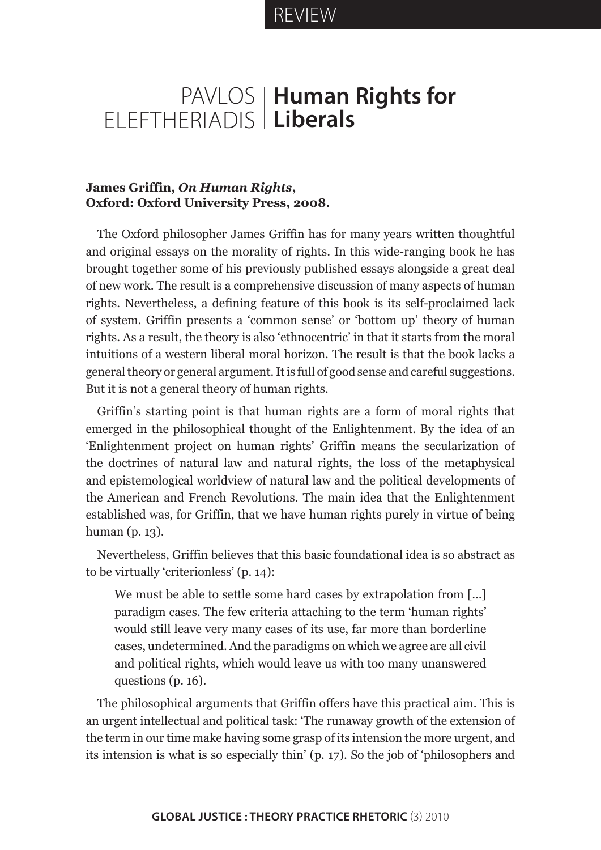## REVIEW

## PAVLOS ELEFTHERIADIS **Human Rights for Liberals**

## **James Griffin,** *On Human Rights***, Oxford: Oxford University Press, 2008.**

The Oxford philosopher James Griffin has for many years written thoughtful and original essays on the morality of rights. In this wide-ranging book he has brought together some of his previously published essays alongside a great deal of new work. The result is a comprehensive discussion of many aspects of human rights. Nevertheless, a defining feature of this book is its self-proclaimed lack of system. Griffin presents a 'common sense' or 'bottom up' theory of human rights. As a result, the theory is also 'ethnocentric' in that it starts from the moral intuitions of a western liberal moral horizon. The result is that the book lacks a general theory or general argument. It is full of good sense and careful suggestions. But it is not a general theory of human rights.

Griffin's starting point is that human rights are a form of moral rights that emerged in the philosophical thought of the Enlightenment. By the idea of an 'Enlightenment project on human rights' Griffin means the secularization of the doctrines of natural law and natural rights, the loss of the metaphysical and epistemological worldview of natural law and the political developments of the American and French Revolutions. The main idea that the Enlightenment established was, for Griffin, that we have human rights purely in virtue of being human (p. 13).

Nevertheless, Griffin believes that this basic foundational idea is so abstract as to be virtually 'criterionless' (p. 14):

We must be able to settle some hard cases by extrapolation from [...] paradigm cases. The few criteria attaching to the term 'human rights' would still leave very many cases of its use, far more than borderline cases, undetermined. And the paradigms on which we agree are all civil and political rights, which would leave us with too many unanswered questions (p. 16).

The philosophical arguments that Griffin offers have this practical aim. This is an urgent intellectual and political task: 'The runaway growth of the extension of the term in our time make having some grasp of its intension the more urgent, and its intension is what is so especially thin' (p. 17). So the job of 'philosophers and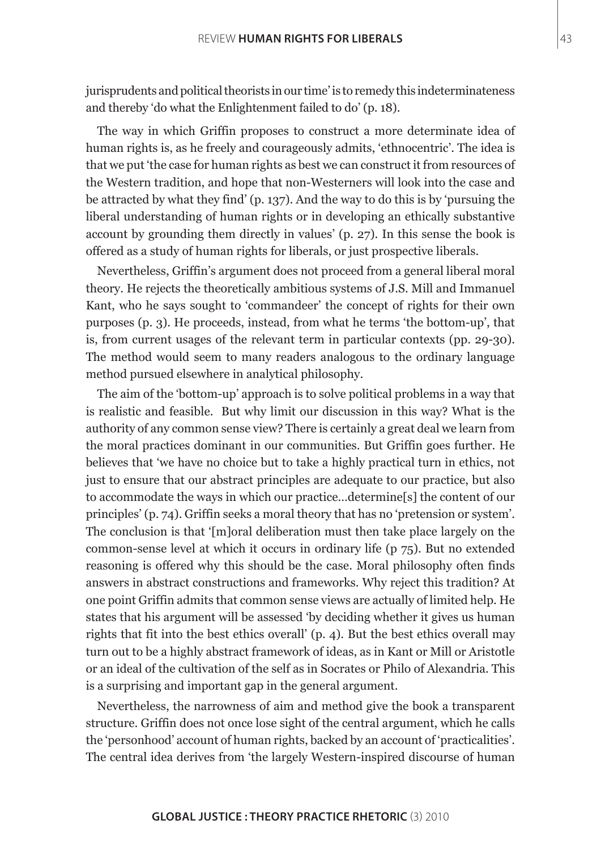jurisprudents and political theorists in our time' is to remedy this indeterminateness and thereby 'do what the Enlightenment failed to do' (p. 18).

The way in which Griffin proposes to construct a more determinate idea of human rights is, as he freely and courageously admits, 'ethnocentric'. The idea is that we put 'the case for human rights as best we can construct it from resources of the Western tradition, and hope that non-Westerners will look into the case and be attracted by what they find' (p. 137). And the way to do this is by 'pursuing the liberal understanding of human rights or in developing an ethically substantive account by grounding them directly in values' (p. 27). In this sense the book is offered as a study of human rights for liberals, or just prospective liberals.

Nevertheless, Griffin's argument does not proceed from a general liberal moral theory. He rejects the theoretically ambitious systems of J.S. Mill and Immanuel Kant, who he says sought to 'commandeer' the concept of rights for their own purposes (p. 3). He proceeds, instead, from what he terms 'the bottom-up', that is, from current usages of the relevant term in particular contexts (pp. 29-30). The method would seem to many readers analogous to the ordinary language method pursued elsewhere in analytical philosophy.

The aim of the 'bottom-up' approach is to solve political problems in a way that is realistic and feasible. But why limit our discussion in this way? What is the authority of any common sense view? There is certainly a great deal we learn from the moral practices dominant in our communities. But Griffin goes further. He believes that 'we have no choice but to take a highly practical turn in ethics, not just to ensure that our abstract principles are adequate to our practice, but also to accommodate the ways in which our practice…determine[s] the content of our principles' (p. 74). Griffin seeks a moral theory that has no 'pretension or system'. The conclusion is that '[m]oral deliberation must then take place largely on the common-sense level at which it occurs in ordinary life (p 75). But no extended reasoning is offered why this should be the case. Moral philosophy often finds answers in abstract constructions and frameworks. Why reject this tradition? At one point Griffin admits that common sense views are actually of limited help. He states that his argument will be assessed 'by deciding whether it gives us human rights that fit into the best ethics overall' (p. 4). But the best ethics overall may turn out to be a highly abstract framework of ideas, as in Kant or Mill or Aristotle or an ideal of the cultivation of the self as in Socrates or Philo of Alexandria. This is a surprising and important gap in the general argument.

Nevertheless, the narrowness of aim and method give the book a transparent structure. Griffin does not once lose sight of the central argument, which he calls the 'personhood' account of human rights, backed by an account of 'practicalities'. The central idea derives from 'the largely Western-inspired discourse of human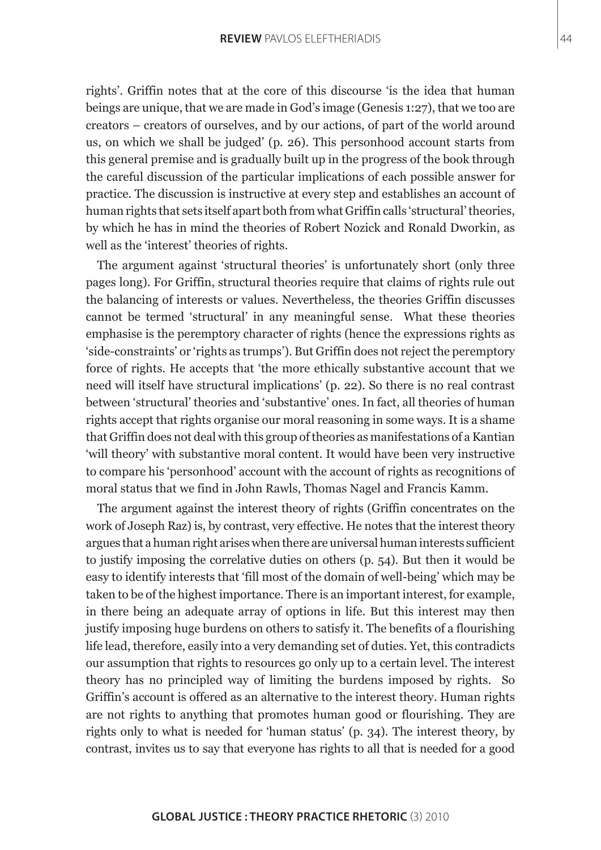rights'. Griffin notes that at the core of this discourse 'is the idea that human beings are unique, that we are made in God's image (Genesis 1:27), that we too are creators – creators of ourselves, and by our actions, of part of the world around us, on which we shall be judged' (p. 26). This personhood account starts from this general premise and is gradually built up in the progress of the book through the careful discussion of the particular implications of each possible answer for practice. The discussion is instructive at every step and establishes an account of human rights that sets itself apart both from what Griffin calls 'structural' theories, by which he has in mind the theories of Robert Nozick and Ronald Dworkin, as well as the 'interest' theories of rights.

The argument against 'structural theories' is unfortunately short (only three pages long). For Griffin, structural theories require that claims of rights rule out the balancing of interests or values. Nevertheless, the theories Griffin discusses cannot be termed 'structural' in any meaningful sense. What these theories emphasise is the peremptory character of rights (hence the expressions rights as 'side-constraints' or 'rights as trumps'). But Griffin does not reject the peremptory force of rights. He accepts that 'the more ethically substantive account that we need will itself have structural implications' (p. 22). So there is no real contrast between 'structural' theories and 'substantive' ones. In fact, all theories of human rights accept that rights organise our moral reasoning in some ways. It is a shame that Griffin does not deal with this group of theories as manifestations of a Kantian 'will theory' with substantive moral content. It would have been very instructive to compare his 'personhood' account with the account of rights as recognitions of moral status that we find in John Rawls, Thomas Nagel and Francis Kamm.

The argument against the interest theory of rights (Griffin concentrates on the work of Joseph Raz) is, by contrast, very effective. He notes that the interest theory argues that a human right arises when there are universal human interests sufficient to justify imposing the correlative duties on others (p. 54). But then it would be easy to identify interests that 'fill most of the domain of well-being' which may be taken to be of the highest importance. There is an important interest, for example, in there being an adequate array of options in life. But this interest may then justify imposing huge burdens on others to satisfy it. The benefits of a flourishing life lead, therefore, easily into a very demanding set of duties. Yet, this contradicts our assumption that rights to resources go only up to a certain level. The interest theory has no principled way of limiting the burdens imposed by rights. So Griffin's account is offered as an alternative to the interest theory. Human rights are not rights to anything that promotes human good or flourishing. They are rights only to what is needed for 'human status' (p. 34). The interest theory, by contrast, invites us to say that everyone has rights to all that is needed for a good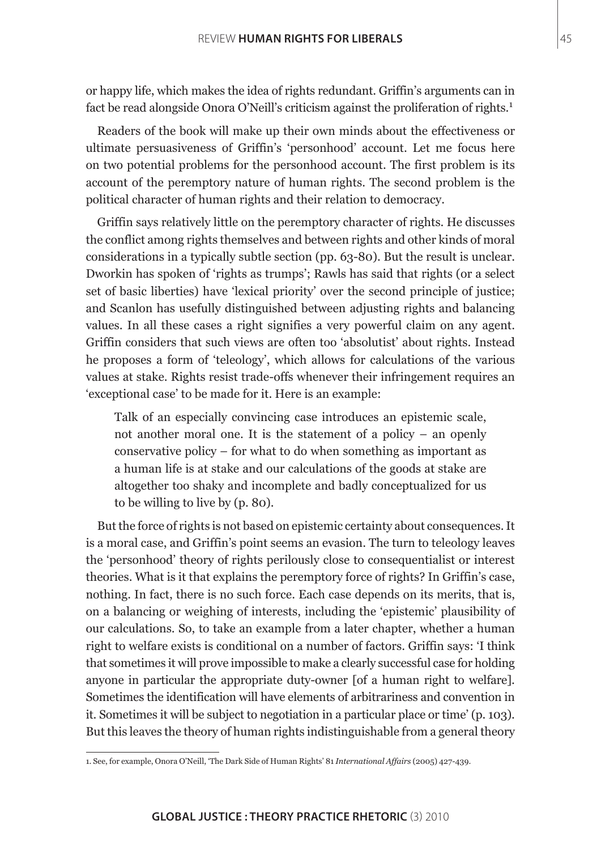or happy life, which makes the idea of rights redundant. Griffin's arguments can in fact be read alongside Onora O'Neill's criticism against the proliferation of rights.<sup>1</sup>

Readers of the book will make up their own minds about the effectiveness or ultimate persuasiveness of Griffin's 'personhood' account. Let me focus here on two potential problems for the personhood account. The first problem is its account of the peremptory nature of human rights. The second problem is the political character of human rights and their relation to democracy.

Griffin says relatively little on the peremptory character of rights. He discusses the conflict among rights themselves and between rights and other kinds of moral considerations in a typically subtle section (pp. 63-80). But the result is unclear. Dworkin has spoken of 'rights as trumps'; Rawls has said that rights (or a select set of basic liberties) have 'lexical priority' over the second principle of justice; and Scanlon has usefully distinguished between adjusting rights and balancing values. In all these cases a right signifies a very powerful claim on any agent. Griffin considers that such views are often too 'absolutist' about rights. Instead he proposes a form of 'teleology', which allows for calculations of the various values at stake. Rights resist trade-offs whenever their infringement requires an 'exceptional case' to be made for it. Here is an example:

Talk of an especially convincing case introduces an epistemic scale, not another moral one. It is the statement of a policy – an openly conservative policy – for what to do when something as important as a human life is at stake and our calculations of the goods at stake are altogether too shaky and incomplete and badly conceptualized for us to be willing to live by (p. 80).

But the force of rights is not based on epistemic certainty about consequences. It is a moral case, and Griffin's point seems an evasion. The turn to teleology leaves the 'personhood' theory of rights perilously close to consequentialist or interest theories. What is it that explains the peremptory force of rights? In Griffin's case, nothing. In fact, there is no such force. Each case depends on its merits, that is, on a balancing or weighing of interests, including the 'epistemic' plausibility of our calculations. So, to take an example from a later chapter, whether a human right to welfare exists is conditional on a number of factors. Griffin says: 'I think that sometimes it will prove impossible to make a clearly successful case for holding anyone in particular the appropriate duty-owner [of a human right to welfare]. Sometimes the identification will have elements of arbitrariness and convention in it. Sometimes it will be subject to negotiation in a particular place or time' (p. 103). But this leaves the theory of human rights indistinguishable from a general theory

<sup>1.</sup> See, for example, Onora O'Neill, 'The Dark Side of Human Rights' 81 *International Affairs* (2005) 427-439.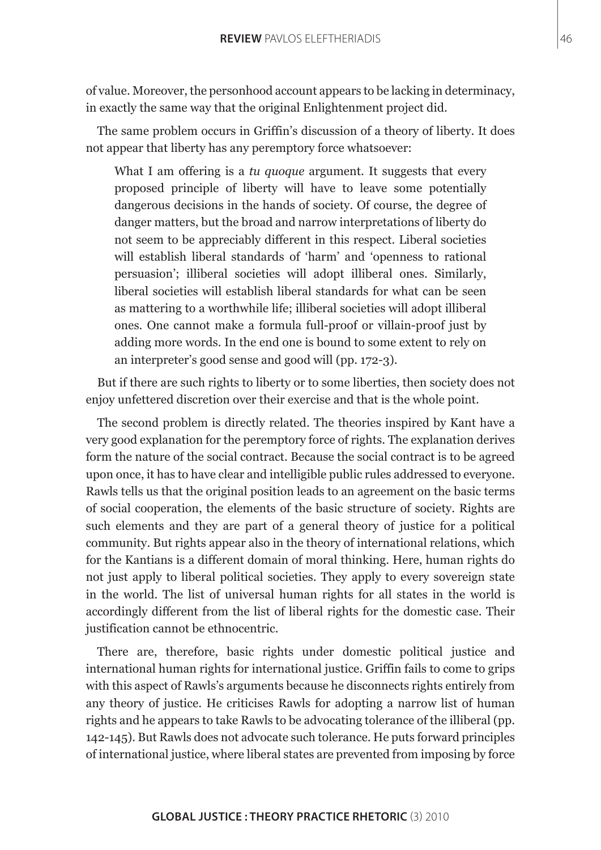of value. Moreover, the personhood account appears to be lacking in determinacy, in exactly the same way that the original Enlightenment project did.

The same problem occurs in Griffin's discussion of a theory of liberty. It does not appear that liberty has any peremptory force whatsoever:

What I am offering is a *tu quoque* argument. It suggests that every proposed principle of liberty will have to leave some potentially dangerous decisions in the hands of society. Of course, the degree of danger matters, but the broad and narrow interpretations of liberty do not seem to be appreciably different in this respect. Liberal societies will establish liberal standards of 'harm' and 'openness to rational persuasion'; illiberal societies will adopt illiberal ones. Similarly, liberal societies will establish liberal standards for what can be seen as mattering to a worthwhile life; illiberal societies will adopt illiberal ones. One cannot make a formula full-proof or villain-proof just by adding more words. In the end one is bound to some extent to rely on an interpreter's good sense and good will (pp. 172-3).

But if there are such rights to liberty or to some liberties, then society does not enjoy unfettered discretion over their exercise and that is the whole point.

The second problem is directly related. The theories inspired by Kant have a very good explanation for the peremptory force of rights. The explanation derives form the nature of the social contract. Because the social contract is to be agreed upon once, it has to have clear and intelligible public rules addressed to everyone. Rawls tells us that the original position leads to an agreement on the basic terms of social cooperation, the elements of the basic structure of society. Rights are such elements and they are part of a general theory of justice for a political community. But rights appear also in the theory of international relations, which for the Kantians is a different domain of moral thinking. Here, human rights do not just apply to liberal political societies. They apply to every sovereign state in the world. The list of universal human rights for all states in the world is accordingly different from the list of liberal rights for the domestic case. Their justification cannot be ethnocentric.

There are, therefore, basic rights under domestic political justice and international human rights for international justice. Griffin fails to come to grips with this aspect of Rawls's arguments because he disconnects rights entirely from any theory of justice. He criticises Rawls for adopting a narrow list of human rights and he appears to take Rawls to be advocating tolerance of the illiberal (pp. 142-145). But Rawls does not advocate such tolerance. He puts forward principles of international justice, where liberal states are prevented from imposing by force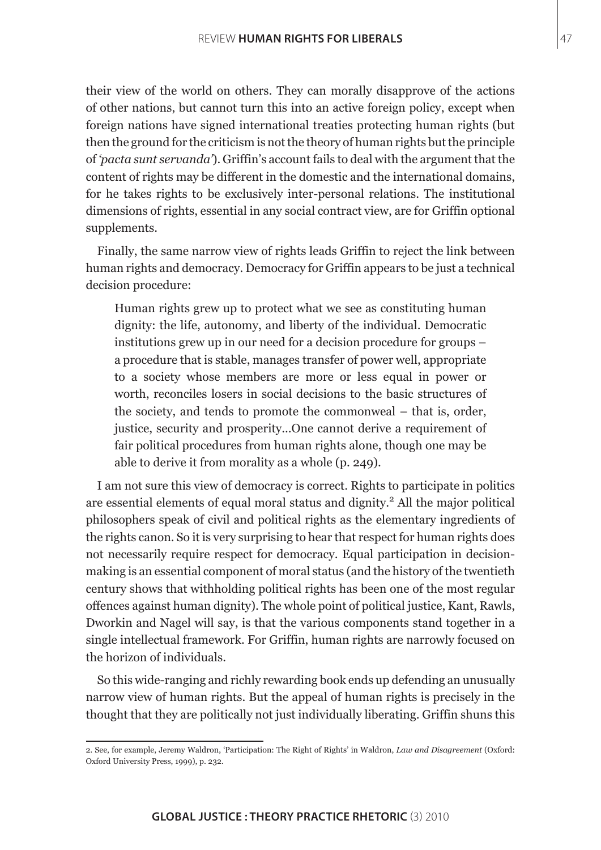their view of the world on others. They can morally disapprove of the actions of other nations, but cannot turn this into an active foreign policy, except when foreign nations have signed international treaties protecting human rights (but then the ground for the criticism is not the theory of human rights but the principle of *'pacta sunt servanda'*). Griffin's account fails to deal with the argument that the content of rights may be different in the domestic and the international domains, for he takes rights to be exclusively inter-personal relations. The institutional dimensions of rights, essential in any social contract view, are for Griffin optional supplements.

Finally, the same narrow view of rights leads Griffin to reject the link between human rights and democracy. Democracy for Griffin appears to be just a technical decision procedure:

Human rights grew up to protect what we see as constituting human dignity: the life, autonomy, and liberty of the individual. Democratic institutions grew up in our need for a decision procedure for groups – a procedure that is stable, manages transfer of power well, appropriate to a society whose members are more or less equal in power or worth, reconciles losers in social decisions to the basic structures of the society, and tends to promote the commonweal – that is, order, justice, security and prosperity…One cannot derive a requirement of fair political procedures from human rights alone, though one may be able to derive it from morality as a whole (p. 249).

I am not sure this view of democracy is correct. Rights to participate in politics are essential elements of equal moral status and dignity.<sup>2</sup> All the major political philosophers speak of civil and political rights as the elementary ingredients of the rights canon. So it is very surprising to hear that respect for human rights does not necessarily require respect for democracy. Equal participation in decisionmaking is an essential component of moral status (and the history of the twentieth century shows that withholding political rights has been one of the most regular offences against human dignity). The whole point of political justice, Kant, Rawls, Dworkin and Nagel will say, is that the various components stand together in a single intellectual framework. For Griffin, human rights are narrowly focused on the horizon of individuals.

So this wide-ranging and richly rewarding book ends up defending an unusually narrow view of human rights. But the appeal of human rights is precisely in the thought that they are politically not just individually liberating. Griffin shuns this

<sup>2.</sup> See, for example, Jeremy Waldron, 'Participation: The Right of Rights' in Waldron, *Law and Disagreement* (Oxford: Oxford University Press, 1999), p. 232.